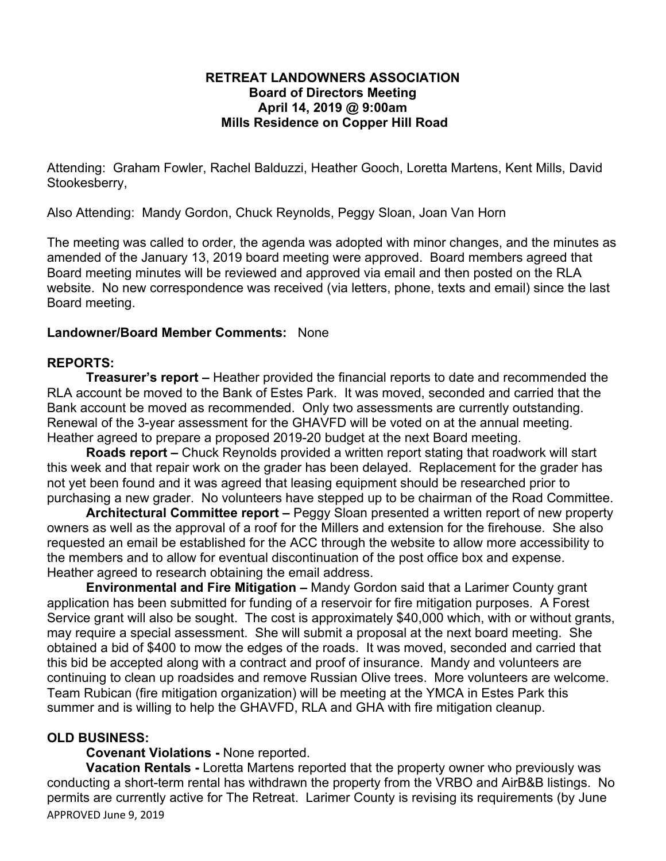# **RETREAT LANDOWNERS ASSOCIATION Board of Directors Meeting April 14, 2019 @ 9:00am Mills Residence on Copper Hill Road**

Attending: Graham Fowler, Rachel Balduzzi, Heather Gooch, Loretta Martens, Kent Mills, David Stookesberry,

Also Attending: Mandy Gordon, Chuck Reynolds, Peggy Sloan, Joan Van Horn

The meeting was called to order, the agenda was adopted with minor changes, and the minutes as amended of the January 13, 2019 board meeting were approved. Board members agreed that Board meeting minutes will be reviewed and approved via email and then posted on the RLA website. No new correspondence was received (via letters, phone, texts and email) since the last Board meeting.

# **Landowner/Board Member Comments:** None

# **REPORTS:**

**Treasurer's report –** Heather provided the financial reports to date and recommended the RLA account be moved to the Bank of Estes Park. It was moved, seconded and carried that the Bank account be moved as recommended. Only two assessments are currently outstanding. Renewal of the 3-year assessment for the GHAVFD will be voted on at the annual meeting. Heather agreed to prepare a proposed 2019-20 budget at the next Board meeting.

**Roads report –** Chuck Reynolds provided a written report stating that roadwork will start this week and that repair work on the grader has been delayed. Replacement for the grader has not yet been found and it was agreed that leasing equipment should be researched prior to purchasing a new grader. No volunteers have stepped up to be chairman of the Road Committee.

**Architectural Committee report –** Peggy Sloan presented a written report of new property owners as well as the approval of a roof for the Millers and extension for the firehouse. She also requested an email be established for the ACC through the website to allow more accessibility to the members and to allow for eventual discontinuation of the post office box and expense. Heather agreed to research obtaining the email address.

**Environmental and Fire Mitigation –** Mandy Gordon said that a Larimer County grant application has been submitted for funding of a reservoir for fire mitigation purposes. A Forest Service grant will also be sought. The cost is approximately \$40,000 which, with or without grants, may require a special assessment. She will submit a proposal at the next board meeting. She obtained a bid of \$400 to mow the edges of the roads. It was moved, seconded and carried that this bid be accepted along with a contract and proof of insurance. Mandy and volunteers are continuing to clean up roadsides and remove Russian Olive trees. More volunteers are welcome. Team Rubican (fire mitigation organization) will be meeting at the YMCA in Estes Park this summer and is willing to help the GHAVFD, RLA and GHA with fire mitigation cleanup.

# **OLD BUSINESS:**

# **Covenant Violations -** None reported.

APPROVED June 9, 2019 **Vacation Rentals -** Loretta Martens reported that the property owner who previously was conducting a short-term rental has withdrawn the property from the VRBO and AirB&B listings. No permits are currently active for The Retreat. Larimer County is revising its requirements (by June